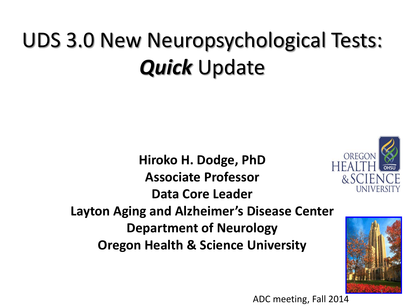### UDS 3.0 New Neuropsychological Tests: *Quick* Update

**Hiroko H. Dodge, PhD Associate Professor Data Core Leader Layton Aging and Alzheimer's Disease Center Department of Neurology Oregon Health & Science University** 





ADC meeting, Fall 2014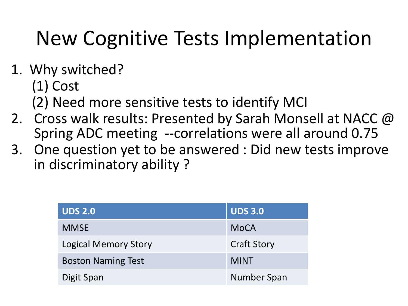#### New Cognitive Tests Implementation

- 1. Why switched?
	- (1) Cost
	- (2) Need more sensitive tests to identify MCI
- 2. Cross walk results: Presented by Sarah Monsell at NACC @ Spring ADC meeting --correlations were all around 0.75
- 3. One question yet to be answered : Did new tests improve in discriminatory ability ?

| <b>UDS 2.0</b>              | <b>UDS 3.0</b>     |
|-----------------------------|--------------------|
| <b>MMSE</b>                 | <b>MoCA</b>        |
| <b>Logical Memory Story</b> | <b>Craft Story</b> |
| <b>Boston Naming Test</b>   | <b>MINT</b>        |
| Digit Span                  | Number Span        |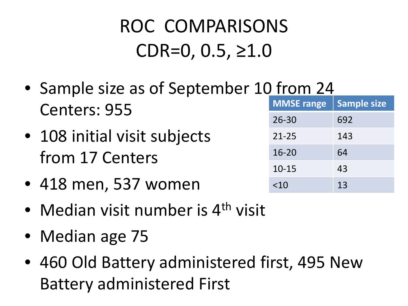#### ROC COMPARISONS  $CDR=0, 0.5, \ge 1.0$

- Sample size as of September 10 from 24 Centers: 955
- 108 initial visit subjects from 17 Centers
- 418 men, 537 women
- Median visit number is 4<sup>th</sup> visit
- Median age 75
- 460 Old Battery administered first, 495 New Battery administered First

| <b>MMSE</b> range | <b>Sample size</b> |
|-------------------|--------------------|
| $26 - 30$         | 692                |
| $21 - 25$         | 143                |
| $16 - 20$         | 64                 |
| $10 - 15$         | 43                 |
| ~10               | 13                 |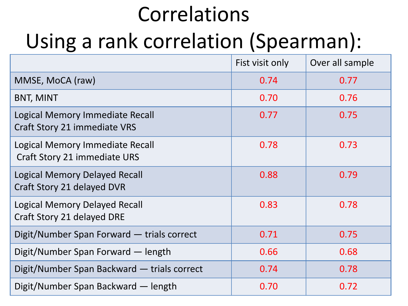# Correlations Using a rank correlation (Spearman):

|                                                                    | Fist visit only | Over all sample |
|--------------------------------------------------------------------|-----------------|-----------------|
| MMSE, MoCA (raw)                                                   | 0.74            | 0.77            |
| <b>BNT, MINT</b>                                                   | 0.70            | 0.76            |
| Logical Memory Immediate Recall<br>Craft Story 21 immediate VRS    | 0.77            | 0.75            |
| Logical Memory Immediate Recall<br>Craft Story 21 immediate URS    | 0.78            | 0.73            |
| Logical Memory Delayed Recall<br>Craft Story 21 delayed DVR        | 0.88            | 0.79            |
| <b>Logical Memory Delayed Recall</b><br>Craft Story 21 delayed DRE | 0.83            | 0.78            |
| Digit/Number Span Forward - trials correct                         | 0.71            | 0.75            |
| Digit/Number Span Forward — length                                 | 0.66            | 0.68            |
| Digit/Number Span Backward — trials correct                        | 0.74            | 0.78            |
| Digit/Number Span Backward — length                                | 0.70            | 0.72            |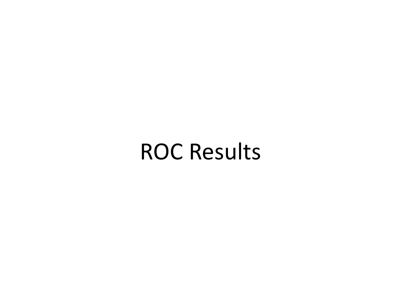#### ROC Results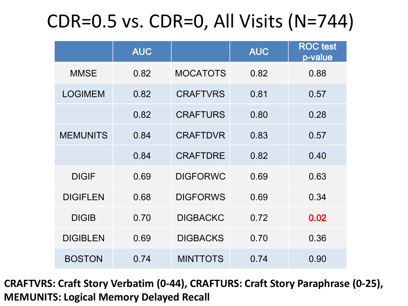#### CDR=0.5 vs. CDR=0, All Visits (N=744)

|                 | <b>AUC</b> |                 | <b>AUC</b> | <b>ROC</b> test<br>p-value |
|-----------------|------------|-----------------|------------|----------------------------|
| <b>MMSE</b>     | 0.82       | <b>MOCATOTS</b> | 0.82       | 0.88                       |
| <b>LOGIMEM</b>  | 0.82       | <b>CRAFTVRS</b> | 0.81       | 0.57                       |
|                 | 0.82       | <b>CRAFTURS</b> | 0.80       | 0.28                       |
| <b>MEMUNITS</b> | 0.84       | <b>CRAFTDVR</b> | 0.83       | 0.57                       |
|                 | 0.84       | <b>CRAFTDRE</b> | 0.82       | 0.40                       |
| <b>DIGIF</b>    | 0.69       | <b>DIGFORWC</b> | 0.69       | 0.63                       |
| <b>DIGIFLEN</b> | 0.68       | <b>DIGFORWS</b> | 0.69       | 0.34                       |
| <b>DIGIB</b>    | 0.70       | <b>DIGBACKC</b> | 0.72       | 0.02                       |
| <b>DIGIBLEN</b> | 0.69       | <b>DIGBACKS</b> | 0.70       | 0.36                       |
| <b>BOSTON</b>   | 0.74       | <b>MINTTOTS</b> | 0.74       | 0.90                       |

**CRAFTVRS: Craft Story Verbatim (0-44), CRAFTURS: Craft Story Paraphrase (0-25), MEMUNITS: Logical Memory Delayed Recall**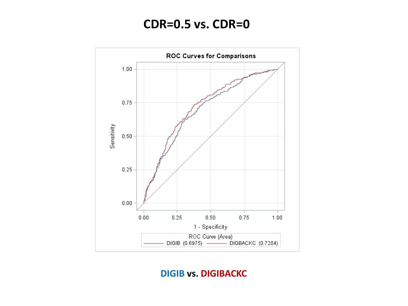#### **CDR=0.5 vs. CDR=0**



**DIGIB vs. DIGIBACKC**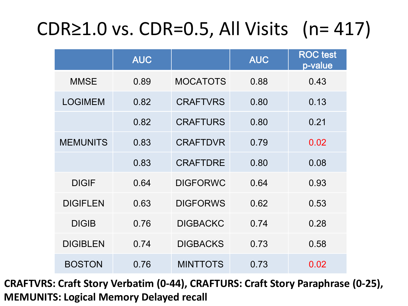#### CDR≥1.0 vs. CDR=0.5, All Visits (n= 417)

|                 | <b>AUC</b> |                 | <b>AUC</b> | <b>ROC</b> test<br>p-value |
|-----------------|------------|-----------------|------------|----------------------------|
| <b>MMSE</b>     | 0.89       | <b>MOCATOTS</b> | 0.88       | 0.43                       |
| <b>LOGIMEM</b>  | 0.82       | <b>CRAFTVRS</b> | 0.80       | 0.13                       |
|                 | 0.82       | <b>CRAFTURS</b> | 0.80       | 0.21                       |
| <b>MEMUNITS</b> | 0.83       | <b>CRAFTDVR</b> | 0.79       | 0.02                       |
|                 | 0.83       | <b>CRAFTDRE</b> | 0.80       | 0.08                       |
| <b>DIGIF</b>    | 0.64       | <b>DIGFORWC</b> | 0.64       | 0.93                       |
| <b>DIGIFLEN</b> | 0.63       | <b>DIGFORWS</b> | 0.62       | 0.53                       |
| <b>DIGIB</b>    | 0.76       | <b>DIGBACKC</b> | 0.74       | 0.28                       |
| <b>DIGIBLEN</b> | 0.74       | <b>DIGBACKS</b> | 0.73       | 0.58                       |
| <b>BOSTON</b>   | 0.76       | <b>MINTTOTS</b> | 0.73       | 0.02                       |

**CRAFTVRS: Craft Story Verbatim (0-44), CRAFTURS: Craft Story Paraphrase (0-25), MEMUNITS: Logical Memory Delayed recall**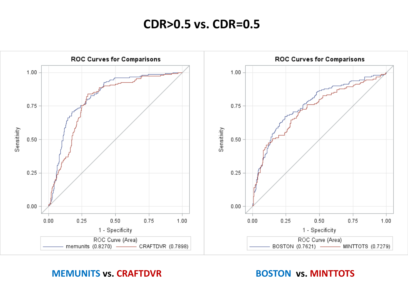#### **CDR>0.5 vs. CDR=0.5**



#### **MEMUNITS** vs. CRAFTDVR **BOSTON vs. MINTTOTS**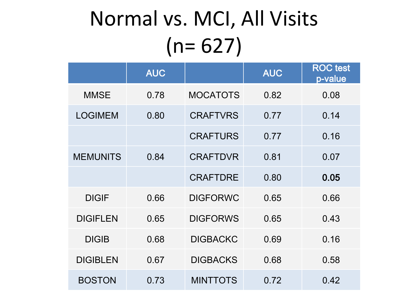## Normal vs. MCI, All Visits  $(n= 627)$

|                 | <b>AUC</b> |                 | <b>AUC</b> | <b>ROC</b> test<br>p-value |
|-----------------|------------|-----------------|------------|----------------------------|
| <b>MMSE</b>     | 0.78       | <b>MOCATOTS</b> | 0.82       | 0.08                       |
| <b>LOGIMEM</b>  | 0.80       | <b>CRAFTVRS</b> | 0.77       | 0.14                       |
|                 |            | <b>CRAFTURS</b> | 0.77       | 0.16                       |
| <b>MEMUNITS</b> | 0.84       | <b>CRAFTDVR</b> | 0.81       | 0.07                       |
|                 |            | <b>CRAFTDRE</b> | 0.80       | 0.05                       |
| <b>DIGIF</b>    | 0.66       | <b>DIGFORWC</b> | 0.65       | 0.66                       |
| <b>DIGIFLEN</b> | 0.65       | <b>DIGFORWS</b> | 0.65       | 0.43                       |
| <b>DIGIB</b>    | 0.68       | <b>DIGBACKC</b> | 0.69       | 0.16                       |
| <b>DIGIBLEN</b> | 0.67       | <b>DIGBACKS</b> | 0.68       | 0.58                       |
| <b>BOSTON</b>   | 0.73       | <b>MINTTOTS</b> | 0.72       | 0.42                       |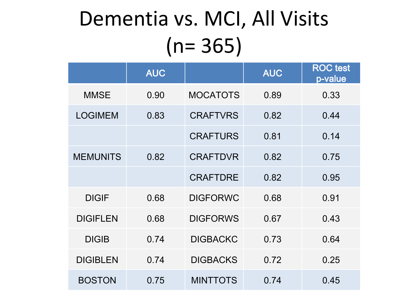#### Dementia vs. MCI, All Visits (n= 365)

|                 | <b>AUC</b> |                 | <b>AUC</b> | <b>ROC</b> test<br>p-value |
|-----------------|------------|-----------------|------------|----------------------------|
| <b>MMSE</b>     | 0.90       | <b>MOCATOTS</b> | 0.89       | 0.33                       |
| <b>LOGIMEM</b>  | 0.83       | <b>CRAFTVRS</b> | 0.82       | 0.44                       |
|                 |            | <b>CRAFTURS</b> | 0.81       | 0.14                       |
| <b>MEMUNITS</b> | 0.82       | <b>CRAFTDVR</b> | 0.82       | 0.75                       |
|                 |            | <b>CRAFTDRE</b> | 0.82       | 0.95                       |
| <b>DIGIF</b>    | 0.68       | <b>DIGFORWC</b> | 0.68       | 0.91                       |
| <b>DIGIFLEN</b> | 0.68       | <b>DIGFORWS</b> | 0.67       | 0.43                       |
| <b>DIGIB</b>    | 0.74       | <b>DIGBACKC</b> | 0.73       | 0.64                       |
| <b>DIGIBLEN</b> | 0.74       | <b>DIGBACKS</b> | 0.72       | 0.25                       |
| <b>BOSTON</b>   | 0.75       | <b>MINTTOTS</b> | 0.74       | 0.45                       |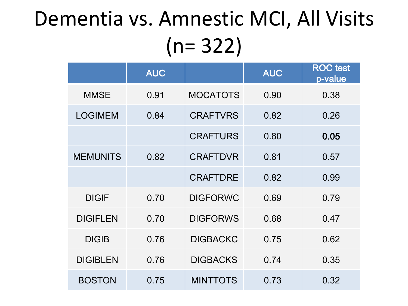### Dementia vs. Amnestic MCI, All Visits (n= 322)

|                 | <b>AUC</b> |                 | <b>AUC</b> | <b>ROC</b> test<br>p-value |
|-----------------|------------|-----------------|------------|----------------------------|
| <b>MMSE</b>     | 0.91       | <b>MOCATOTS</b> | 0.90       | 0.38                       |
| <b>LOGIMEM</b>  | 0.84       | <b>CRAFTVRS</b> | 0.82       | 0.26                       |
|                 |            | <b>CRAFTURS</b> | 0.80       | 0.05                       |
| <b>MEMUNITS</b> | 0.82       | <b>CRAFTDVR</b> | 0.81       | 0.57                       |
|                 |            | <b>CRAFTDRE</b> | 0.82       | 0.99                       |
| <b>DIGIF</b>    | 0.70       | <b>DIGFORWC</b> | 0.69       | 0.79                       |
| <b>DIGIFLEN</b> | 0.70       | <b>DIGFORWS</b> | 0.68       | 0.47                       |
| <b>DIGIB</b>    | 0.76       | <b>DIGBACKC</b> | 0.75       | 0.62                       |
| <b>DIGIBLEN</b> | 0.76       | <b>DIGBACKS</b> | 0.74       | 0.35                       |
| <b>BOSTON</b>   | 0.75       | <b>MINTTOTS</b> | 0.73       | 0.32                       |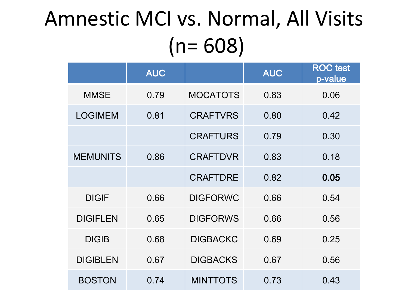#### Amnestic MCI vs. Normal, All Visits (n= 608)

|                 | <b>AUC</b> |                 | <b>AUC</b> | <b>ROC</b> test<br>p-value |
|-----------------|------------|-----------------|------------|----------------------------|
| <b>MMSE</b>     | 0.79       | <b>MOCATOTS</b> | 0.83       | 0.06                       |
| <b>LOGIMEM</b>  | 0.81       | <b>CRAFTVRS</b> | 0.80       | 0.42                       |
|                 |            | <b>CRAFTURS</b> | 0.79       | 0.30                       |
| <b>MEMUNITS</b> | 0.86       | <b>CRAFTDVR</b> | 0.83       | 0.18                       |
|                 |            | <b>CRAFTDRE</b> | 0.82       | 0.05                       |
| <b>DIGIF</b>    | 0.66       | <b>DIGFORWC</b> | 0.66       | 0.54                       |
| <b>DIGIFLEN</b> | 0.65       | <b>DIGFORWS</b> | 0.66       | 0.56                       |
| <b>DIGIB</b>    | 0.68       | <b>DIGBACKC</b> | 0.69       | 0.25                       |
| <b>DIGIBLEN</b> | 0.67       | <b>DIGBACKS</b> | 0.67       | 0.56                       |
| <b>BOSTON</b>   | 0.74       | <b>MINTTOTS</b> | 0.73       | 0.43                       |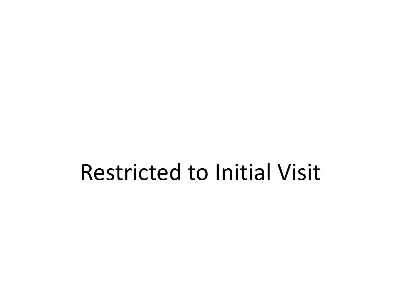#### Restricted to Initial Visit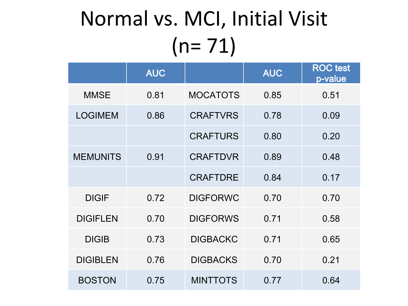# Normal vs. MCI, Initial Visit  $(n= 71)$

|                 | <b>AUC</b> |                 | <b>AUC</b> | <b>ROC</b> test<br>p-value |
|-----------------|------------|-----------------|------------|----------------------------|
| <b>MMSE</b>     | 0.81       | <b>MOCATOTS</b> | 0.85       | 0.51                       |
| <b>LOGIMEM</b>  | 0.86       | <b>CRAFTVRS</b> | 0.78       | 0.09                       |
|                 |            | <b>CRAFTURS</b> | 0.80       | 0.20                       |
| <b>MEMUNITS</b> | 0.91       | <b>CRAFTDVR</b> | 0.89       | 0.48                       |
|                 |            | <b>CRAFTDRE</b> | 0.84       | 0.17                       |
| <b>DIGIF</b>    | 0.72       | <b>DIGFORWC</b> | 0.70       | 0.70                       |
| <b>DIGIFLEN</b> | 0.70       | <b>DIGFORWS</b> | 0.71       | 0.58                       |
| <b>DIGIB</b>    | 0.73       | <b>DIGBACKC</b> | 0.71       | 0.65                       |
| <b>DIGIBLEN</b> | 0.76       | <b>DIGBACKS</b> | 0.70       | 0.21                       |
| <b>BOSTON</b>   | 0.75       | <b>MINTTOTS</b> | 0.77       | 0.64                       |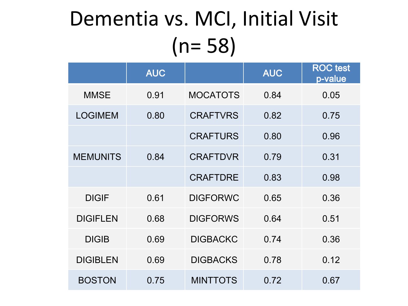### Dementia vs. MCI, Initial Visit (n= 58)

|                 | <b>AUC</b> |                 | <b>AUC</b> | <b>ROC</b> test<br>p-value |
|-----------------|------------|-----------------|------------|----------------------------|
| <b>MMSE</b>     | 0.91       | <b>MOCATOTS</b> | 0.84       | 0.05                       |
| <b>LOGIMEM</b>  | 0.80       | <b>CRAFTVRS</b> | 0.82       | 0.75                       |
|                 |            | <b>CRAFTURS</b> | 0.80       | 0.96                       |
| <b>MEMUNITS</b> | 0.84       | <b>CRAFTDVR</b> | 0.79       | 0.31                       |
|                 |            | <b>CRAFTDRE</b> | 0.83       | 0.98                       |
| <b>DIGIF</b>    | 0.61       | <b>DIGFORWC</b> | 0.65       | 0.36                       |
| <b>DIGIFLEN</b> | 0.68       | <b>DIGFORWS</b> | 0.64       | 0.51                       |
| <b>DIGIB</b>    | 0.69       | <b>DIGBACKC</b> | 0.74       | 0.36                       |
| <b>DIGIBLEN</b> | 0.69       | <b>DIGBACKS</b> | 0.78       | 0.12                       |
| <b>BOSTON</b>   | 0.75       | <b>MINTTOTS</b> | 0.72       | 0.67                       |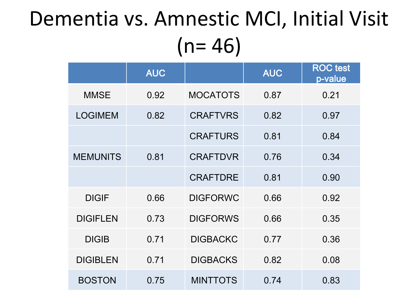#### Dementia vs. Amnestic MCI, Initial Visit  $(n= 46)$

|                 | <b>AUC</b> |                 | <b>AUC</b> | <b>ROC</b> test<br>p-value |
|-----------------|------------|-----------------|------------|----------------------------|
| <b>MMSE</b>     | 0.92       | <b>MOCATOTS</b> | 0.87       | 0.21                       |
| <b>LOGIMEM</b>  | 0.82       | <b>CRAFTVRS</b> | 0.82       | 0.97                       |
|                 |            | <b>CRAFTURS</b> | 0.81       | 0.84                       |
| <b>MEMUNITS</b> | 0.81       | <b>CRAFTDVR</b> | 0.76       | 0.34                       |
|                 |            | <b>CRAFTDRE</b> | 0.81       | 0.90                       |
| <b>DIGIF</b>    | 0.66       | <b>DIGFORWC</b> | 0.66       | 0.92                       |
| <b>DIGIFLEN</b> | 0.73       | <b>DIGFORWS</b> | 0.66       | 0.35                       |
| <b>DIGIB</b>    | 0.71       | <b>DIGBACKC</b> | 0.77       | 0.36                       |
| <b>DIGIBLEN</b> | 0.71       | <b>DIGBACKS</b> | 0.82       | 0.08                       |
| <b>BOSTON</b>   | 0.75       | <b>MINTTOTS</b> | 0.74       | 0.83                       |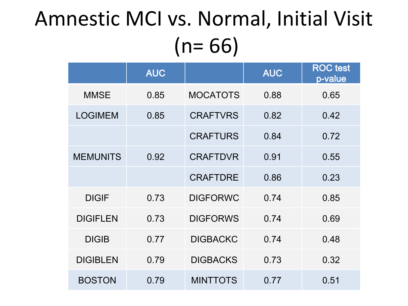### Amnestic MCI vs. Normal, Initial Visit  $(n= 66)$

|                 | <b>AUC</b> |                 | <b>AUC</b> | <b>ROC</b> test<br>p-value |
|-----------------|------------|-----------------|------------|----------------------------|
| <b>MMSE</b>     | 0.85       | <b>MOCATOTS</b> | 0.88       | 0.65                       |
| <b>LOGIMEM</b>  | 0.85       | <b>CRAFTVRS</b> | 0.82       | 0.42                       |
|                 |            | <b>CRAFTURS</b> | 0.84       | 0.72                       |
| <b>MEMUNITS</b> | 0.92       | <b>CRAFTDVR</b> | 0.91       | 0.55                       |
|                 |            | <b>CRAFTDRE</b> | 0.86       | 0.23                       |
| <b>DIGIF</b>    | 0.73       | <b>DIGFORWC</b> | 0.74       | 0.85                       |
| <b>DIGIFLEN</b> | 0.73       | <b>DIGFORWS</b> | 0.74       | 0.69                       |
| <b>DIGIB</b>    | 0.77       | <b>DIGBACKC</b> | 0.74       | 0.48                       |
| <b>DIGIBLEN</b> | 0.79       | <b>DIGBACKS</b> | 0.73       | 0.32                       |
| <b>BOSTON</b>   | 0.79       | <b>MINTTOTS</b> | 0.77       | 0.51                       |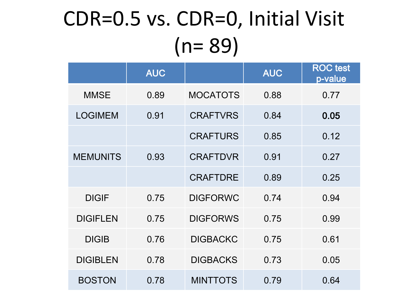# CDR=0.5 vs. CDR=0, Initial Visit (n= 89)

|                 | <b>AUC</b> |                 | <b>AUC</b> | <b>ROC</b> test<br>p-value |
|-----------------|------------|-----------------|------------|----------------------------|
| <b>MMSE</b>     | 0.89       | <b>MOCATOTS</b> | 0.88       | 0.77                       |
| <b>LOGIMEM</b>  | 0.91       | <b>CRAFTVRS</b> | 0.84       | 0.05                       |
|                 |            | <b>CRAFTURS</b> | 0.85       | 0.12                       |
| <b>MEMUNITS</b> | 0.93       | <b>CRAFTDVR</b> | 0.91       | 0.27                       |
|                 |            | <b>CRAFTDRE</b> | 0.89       | 0.25                       |
| <b>DIGIF</b>    | 0.75       | <b>DIGFORWC</b> | 0.74       | 0.94                       |
| <b>DIGIFLEN</b> | 0.75       | <b>DIGFORWS</b> | 0.75       | 0.99                       |
| <b>DIGIB</b>    | 0.76       | <b>DIGBACKC</b> | 0.75       | 0.61                       |
| <b>DIGIBLEN</b> | 0.78       | <b>DIGBACKS</b> | 0.73       | 0.05                       |
| <b>BOSTON</b>   | 0.78       | <b>MINTTOTS</b> | 0.79       | 0.64                       |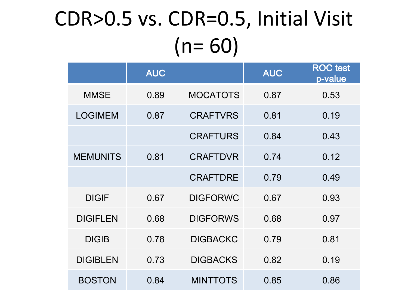## CDR>0.5 vs. CDR=0.5, Initial Visit  $(n= 60)$

|                 | <b>AUC</b> |                 | <b>AUC</b> | <b>ROC</b> test<br>p-value |
|-----------------|------------|-----------------|------------|----------------------------|
| <b>MMSE</b>     | 0.89       | <b>MOCATOTS</b> | 0.87       | 0.53                       |
| <b>LOGIMEM</b>  | 0.87       | <b>CRAFTVRS</b> | 0.81       | 0.19                       |
|                 |            | <b>CRAFTURS</b> | 0.84       | 0.43                       |
| <b>MEMUNITS</b> | 0.81       | <b>CRAFTDVR</b> | 0.74       | 0.12                       |
|                 |            | <b>CRAFTDRE</b> | 0.79       | 0.49                       |
| <b>DIGIF</b>    | 0.67       | <b>DIGFORWC</b> | 0.67       | 0.93                       |
| <b>DIGIFLEN</b> | 0.68       | <b>DIGFORWS</b> | 0.68       | 0.97                       |
| <b>DIGIB</b>    | 0.78       | <b>DIGBACKC</b> | 0.79       | 0.81                       |
| <b>DIGIBLEN</b> | 0.73       | <b>DIGBACKS</b> | 0.82       | 0.19                       |
| <b>BOSTON</b>   | 0.84       | <b>MINTTOTS</b> | 0.85       | 0.86                       |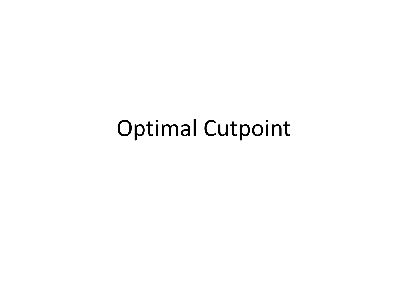#### Optimal Cutpoint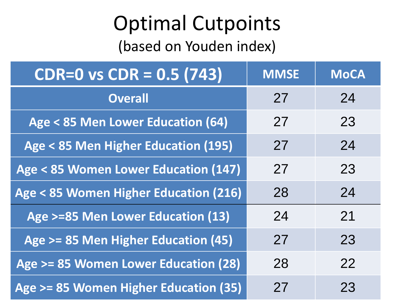#### Optimal Cutpoints

(based on Youden index)

| $\overline{CDR} = 0$ vs $\overline{CDR} = 0.5(743)$ | <b>MMSE</b> | <b>MoCA</b> |
|-----------------------------------------------------|-------------|-------------|
| <b>Overall</b>                                      | 27          | 24          |
| Age < 85 Men Lower Education (64)                   | 27          | 23          |
| Age < 85 Men Higher Education (195)                 | 27          | 24          |
| Age < 85 Women Lower Education (147)                | 27          | 23          |
| Age < 85 Women Higher Education (216)               | 28          | 24          |
| Age >=85 Men Lower Education (13)                   | 24          | 21          |
| Age >= 85 Men Higher Education (45)                 | 27          | 23          |
| Age >= 85 Women Lower Education (28)                | 28          | 22          |
| Age >= 85 Women Higher Education (35)               | 27          | 23          |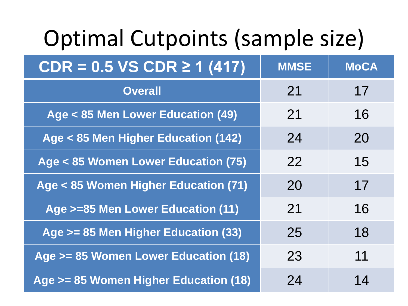# Optimal Cutpoints (sample size)

| $CDR = 0.5 VS$ CDR $\geq 1$ (417)     | <b>MMSE</b> | MoCA |
|---------------------------------------|-------------|------|
| <b>Overall</b>                        | 21          | 17   |
| Age < 85 Men Lower Education (49)     | 21          | 16   |
| Age < 85 Men Higher Education (142)   | 24          | 20   |
| Age < 85 Women Lower Education (75)   | 22          | 15   |
| Age < 85 Women Higher Education (71)  | 20          | 17   |
| Age >=85 Men Lower Education (11)     | 21          | 16   |
| Age >= 85 Men Higher Education (33)   | 25          | 18   |
| Age >= 85 Women Lower Education (18)  | 23          | 11   |
| Age >= 85 Women Higher Education (18) | 24          | 14   |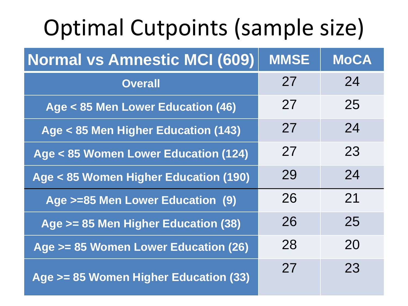# Optimal Cutpoints (sample size)

| <b>Normal vs Amnestic MCI (609)</b>   | <b>MMSE</b> | <b>MoCA</b> |
|---------------------------------------|-------------|-------------|
| <b>Overall</b>                        | 27          | 24          |
| Age < 85 Men Lower Education (46)     | 27          | 25          |
| Age < 85 Men Higher Education (143)   | 27          | 24          |
| Age < 85 Women Lower Education (124)  | 27          | 23          |
| Age < 85 Women Higher Education (190) | 29          | 24          |
| Age >=85 Men Lower Education (9)      | 26          | 21          |
| Age >= 85 Men Higher Education (38)   | 26          | 25          |
| Age >= 85 Women Lower Education (26)  | 28          | 20          |
| Age >= 85 Women Higher Education (33) | 27          | 23          |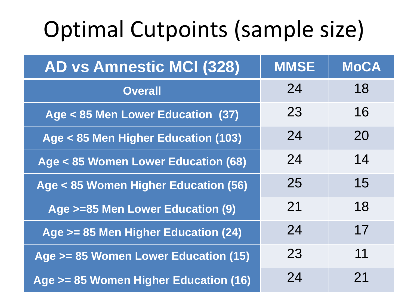# Optimal Cutpoints (sample size)

| <b>AD vs Amnestic MCI (328)</b>       | <b>MMSE</b> | <b>MoCA</b> |
|---------------------------------------|-------------|-------------|
| <b>Overall</b>                        | 24          | 18          |
| Age < 85 Men Lower Education (37)     | 23          | 16          |
| Age < 85 Men Higher Education (103)   | 24          | 20          |
| Age < 85 Women Lower Education (68)   | 24          | 14          |
| Age < 85 Women Higher Education (56)  | 25          | 15          |
| Age >=85 Men Lower Education (9)      | 21          | 18          |
| Age >= 85 Men Higher Education (24)   | 24          | 17          |
| Age >= 85 Women Lower Education (15)  | 23          | 11          |
| Age >= 85 Women Higher Education (16) | 24          | 21          |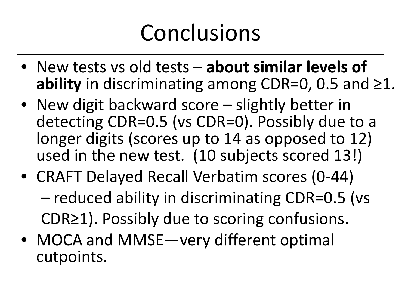# Conclusions

- New tests vs old tests **about similar levels of ability** in discriminating among CDR=0, 0.5 and ≥1.
- New digit backward score slightly better in detecting CDR=0.5 (vs CDR=0). Possibly due to a longer digits (scores up to 14 as opposed to 12) used in the new test. (10 subjects scored 13!)
- CRAFT Delayed Recall Verbatim scores (0-44) – reduced ability in discriminating CDR=0.5 (vs CDR≥1). Possibly due to scoring confusions.
- MOCA and MMSE—very different optimal cutpoints.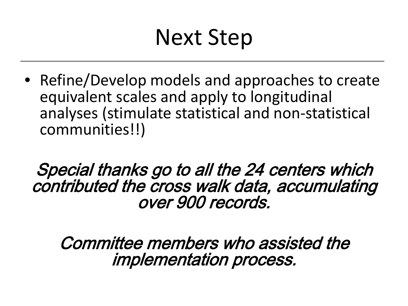### Next Step

• Refine/Develop models and approaches to create equivalent scales and apply to longitudinal analyses (stimulate statistical and non-statistical communities!!)

Special thanks go to all the 24 centers which contributed the cross walk data, accumulating over 900 records.

Committee members who assisted the implementation process.